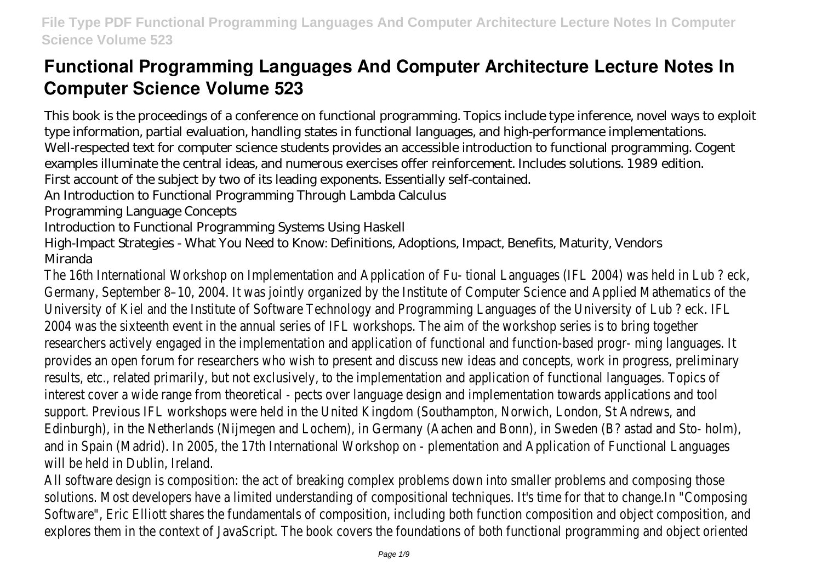# **Functional Programming Languages And Computer Architecture Lecture Notes In Computer Science Volume 523**

This book is the proceedings of a conference on functional programming. Topics include type inference, novel ways to exploit type information, partial evaluation, handling states in functional languages, and high-performance implementations. Well-respected text for computer science students provides an accessible introduction to functional programming. Cogent examples illuminate the central ideas, and numerous exercises offer reinforcement. Includes solutions. 1989 edition. First account of the subject by two of its leading exponents. Essentially self-contained.

An Introduction to Functional Programming Through Lambda Calculus

Programming Language Concepts

Introduction to Functional Programming Systems Using Haskell

High-Impact Strategies - What You Need to Know: Definitions, Adoptions, Impact, Benefits, Maturity, Vendors Miranda

The 16th International Workshop on Implementation and Application of Fu- tional Languages (IFL 2004) was held in Lub ? eck, Germany, September 8–10, 2004. It was jointly organized by the Institute of Computer Science and Applied Mathematics of the University of Kiel and the Institute of Software Technology and Programming Languages of the University of Lub ? eck. IFL 2004 was the sixteenth event in the annual series of IFL workshops. The aim of the workshop series is to bring together researchers actively engaged in the implementation and application of functional and function-based progr- ming languages. It provides an open forum for researchers who wish to present and discuss new ideas and concepts, work in progress, preliminary results, etc., related primarily, but not exclusively, to the implementation and application of functional languages. Topics of interest cover a wide range from theoretical - pects over language design and implementation towards applications and tool support. Previous IFL workshops were held in the United Kingdom (Southampton, Norwich, London, St Andrews, and Edinburgh), in the Netherlands (Nijmegen and Lochem), in Germany (Aachen and Bonn), in Sweden (B? astad and Sto- holm), and in Spain (Madrid). In 2005, the 17th International Workshop on - plementation and Application of Functional Languages will be held in Dublin, Ireland.

All software design is composition: the act of breaking complex problems down into smaller problems and composing those solutions. Most developers have a limited understanding of compositional techniques. It's time for that to change.In "Composin Software", Eric Elliott shares the fundamentals of composition, including both function composition and object composition, and explores them in the context of JavaScript. The book covers the foundations of both functional programming and object orient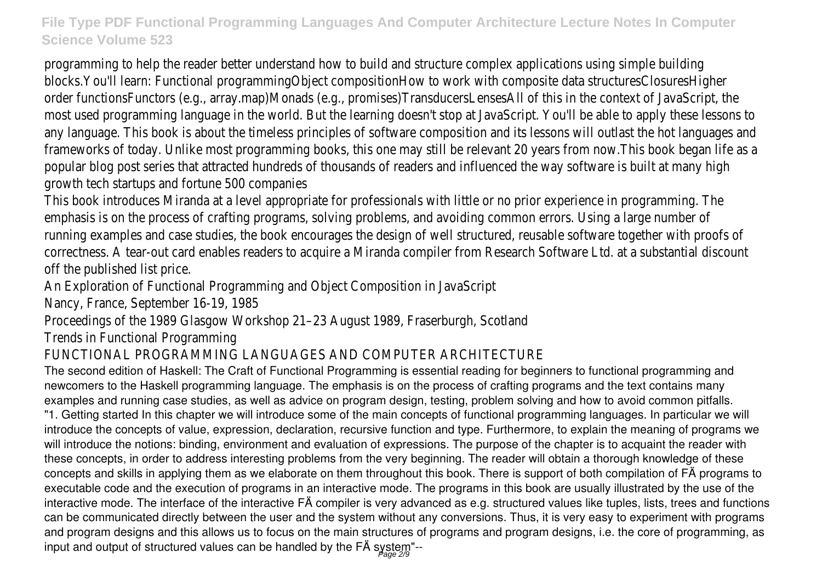programming to help the reader better understand how to build and structure complex applications using simple building blocks.You'll learn: Functional programmingObject compositionHow to work with composite data structuresClosuresHigher order functionsFunctors (e.g., array.map)Monads (e.g., promises)TransducersLensesAll of this in the context of JavaScript, the most used programming language in the world. But the learning doesn't stop at JavaScript. You'll be able to apply these lesson any language. This book is about the timeless principles of software composition and its lessons will outlast the hot languages frameworks of today. Unlike most programming books, this one may still be relevant 20 years from now.This book began life as popular blog post series that attracted hundreds of thousands of readers and influenced the way software is built at many higher growth tech startups and fortune 500 companies

This book introduces Miranda at a level appropriate for professionals with little or no prior experience in programming. The emphasis is on the process of crafting programs, solving problems, and avoiding common errors. Using a large number of running examples and case studies, the book encourages the design of well structured, reusable software together with proof correctness. A tear-out card enables readers to acquire a Miranda compiler from Research Software Ltd. at a substantial disco off the published list price.

An Exploration of Functional Programming and Object Composition in JavaScript

Nancy, France, September 16-19, 1985

Proceedings of the 1989 Glasgow Workshop 21–23 August 1989, Fraserburgh, Scotland

Trends in Functional Programming

# FUNCTIONAL PROGRAMMING LANGUAGES AND COMPUTER ARCHITECTURE

The second edition of Haskell: The Craft of Functional Programming is essential reading for beginners to functional programming and newcomers to the Haskell programming language. The emphasis is on the process of crafting programs and the text contains many examples and running case studies, as well as advice on program design, testing, problem solving and how to avoid common pitfalls. "1. Getting started In this chapter we will introduce some of the main concepts of functional programming languages. In particular we will introduce the concepts of value, expression, declaration, recursive function and type. Furthermore, to explain the meaning of programs we will introduce the notions: binding, environment and evaluation of expressions. The purpose of the chapter is to acquaint the reader with these concepts, in order to address interesting problems from the very beginning. The reader will obtain a thorough knowledge of these concepts and skills in applying them as we elaborate on them throughout this book. There is support of both compilation of FÄ programs to executable code and the execution of programs in an interactive mode. The programs in this book are usually illustrated by the use of the interactive mode. The interface of the interactive FÄ compiler is very advanced as e.g. structured values like tuples, lists, trees and functions can be communicated directly between the user and the system without any conversions. Thus, it is very easy to experiment with programs and program designs and this allows us to focus on the main structures of programs and program designs, i.e. the core of programming, as input and output of structured values can be handled by the FÄ system"--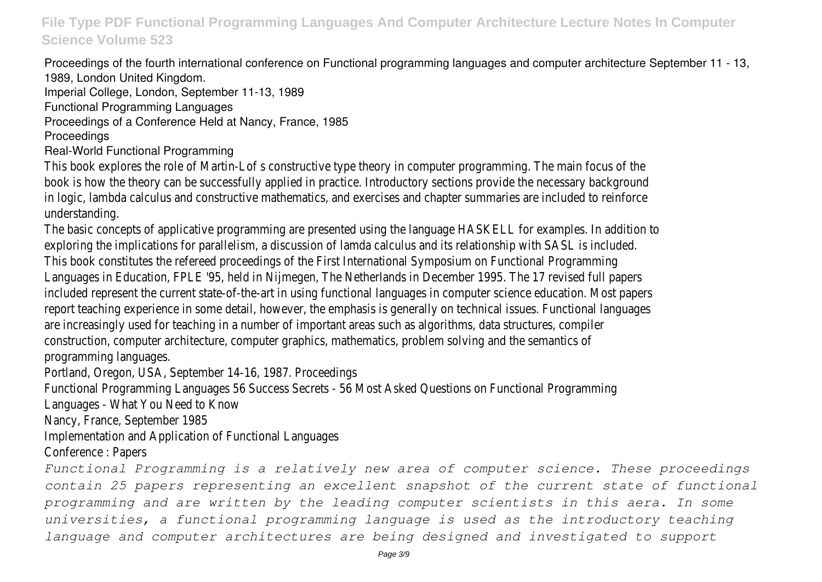Proceedings of the fourth international conference on Functional programming languages and computer architecture September 11 - 13, 1989, London United Kingdom.

Imperial College, London, September 11-13, 1989

Functional Programming Languages

Proceedings of a Conference Held at Nancy, France, 1985

#### Proceedings

### Real-World Functional Programming

This book explores the role of Martin-Lof s constructive type theory in computer programming. The main focus of the book is how the theory can be successfully applied in practice. Introductory sections provide the necessary background in logic, lambda calculus and constructive mathematics, and exercises and chapter summaries are included to reinforce understanding.

The basic concepts of applicative programming are presented using the language HASKELL for examples. In addition to exploring the implications for parallelism, a discussion of lamda calculus and its relationship with SASL is included. This book constitutes the refereed proceedings of the First International Symposium on Functional Programming Languages in Education, FPLE '95, held in Nijmegen, The Netherlands in December 1995. The 17 revised full papers included represent the current state-of-the-art in using functional languages in computer science education. Most papers report teaching experience in some detail, however, the emphasis is generally on technical issues. Functional languages are increasingly used for teaching in a number of important areas such as algorithms, data structures, compiler construction, computer architecture, computer graphics, mathematics, problem solving and the semantics of programming languages.

Portland, Oregon, USA, September 14-16, 1987. Proceedings

Functional Programming Languages 56 Success Secrets - 56 Most Asked Questions on Functional Programming

Languages - What You Need to Know

Nancy, France, September 1985

Implementation and Application of Functional Languages

Conference : Papers

*Functional Programming is a relatively new area of computer science. These proceedings contain 25 papers representing an excellent snapshot of the current state of functional programming and are written by the leading computer scientists in this aera. In some universities, a functional programming language is used as the introductory teaching language and computer architectures are being designed and investigated to support*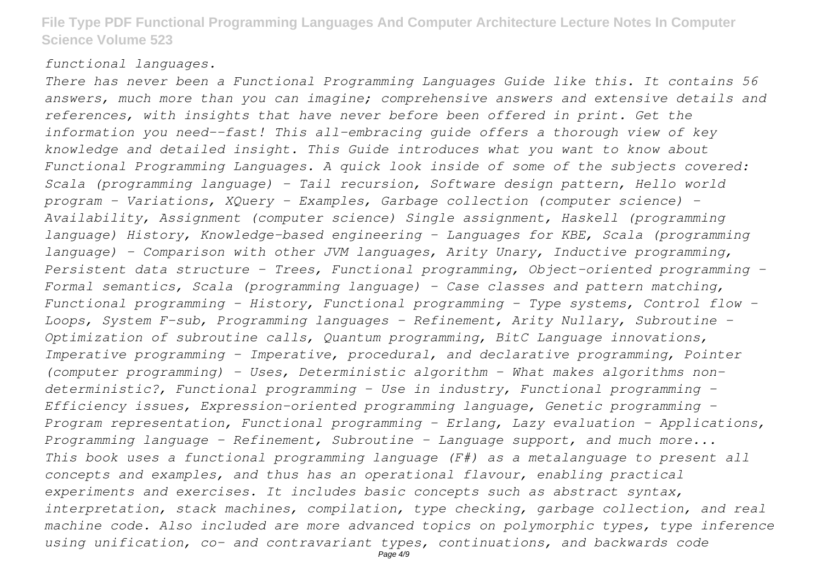#### *functional languages.*

*There has never been a Functional Programming Languages Guide like this. It contains 56 answers, much more than you can imagine; comprehensive answers and extensive details and references, with insights that have never before been offered in print. Get the information you need--fast! This all-embracing guide offers a thorough view of key knowledge and detailed insight. This Guide introduces what you want to know about Functional Programming Languages. A quick look inside of some of the subjects covered: Scala (programming language) - Tail recursion, Software design pattern, Hello world program - Variations, XQuery - Examples, Garbage collection (computer science) - Availability, Assignment (computer science) Single assignment, Haskell (programming language) History, Knowledge-based engineering - Languages for KBE, Scala (programming language) - Comparison with other JVM languages, Arity Unary, Inductive programming, Persistent data structure - Trees, Functional programming, Object-oriented programming - Formal semantics, Scala (programming language) - Case classes and pattern matching, Functional programming - History, Functional programming - Type systems, Control flow - Loops, System F-sub, Programming languages - Refinement, Arity Nullary, Subroutine - Optimization of subroutine calls, Quantum programming, BitC Language innovations, Imperative programming - Imperative, procedural, and declarative programming, Pointer (computer programming) - Uses, Deterministic algorithm - What makes algorithms nondeterministic?, Functional programming - Use in industry, Functional programming - Efficiency issues, Expression-oriented programming language, Genetic programming - Program representation, Functional programming - Erlang, Lazy evaluation - Applications, Programming language - Refinement, Subroutine - Language support, and much more... This book uses a functional programming language (F#) as a metalanguage to present all concepts and examples, and thus has an operational flavour, enabling practical experiments and exercises. It includes basic concepts such as abstract syntax, interpretation, stack machines, compilation, type checking, garbage collection, and real machine code. Also included are more advanced topics on polymorphic types, type inference using unification, co- and contravariant types, continuations, and backwards code*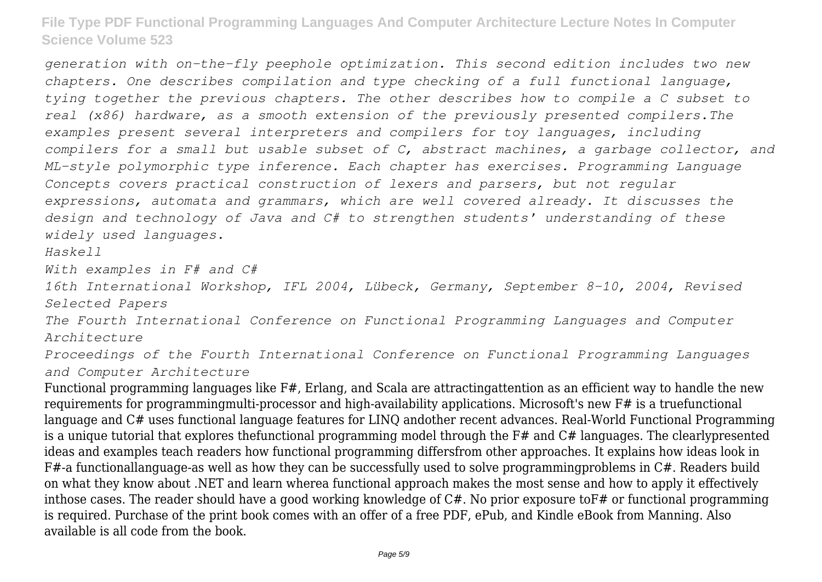*generation with on-the-fly peephole optimization. This second edition includes two new chapters. One describes compilation and type checking of a full functional language, tying together the previous chapters. The other describes how to compile a C subset to real (x86) hardware, as a smooth extension of the previously presented compilers.The examples present several interpreters and compilers for toy languages, including compilers for a small but usable subset of C, abstract machines, a garbage collector, and ML-style polymorphic type inference. Each chapter has exercises. Programming Language Concepts covers practical construction of lexers and parsers, but not regular expressions, automata and grammars, which are well covered already. It discusses the design and technology of Java and C# to strengthen students' understanding of these widely used languages.*

*Haskell*

*With examples in F# and C#*

*16th International Workshop, IFL 2004, Lübeck, Germany, September 8-10, 2004, Revised Selected Papers*

*The Fourth International Conference on Functional Programming Languages and Computer Architecture*

*Proceedings of the Fourth International Conference on Functional Programming Languages and Computer Architecture*

Functional programming languages like F#, Erlang, and Scala are attractingattention as an efficient way to handle the new requirements for programmingmulti-processor and high-availability applications. Microsoft's new F# is a truefunctional language and C# uses functional language features for LINQ andother recent advances. Real-World Functional Programming is a unique tutorial that explores thefunctional programming model through the F# and C# languages. The clearlypresented ideas and examples teach readers how functional programming differsfrom other approaches. It explains how ideas look in F#-a functionallanguage-as well as how they can be successfully used to solve programmingproblems in C#. Readers build on what they know about .NET and learn wherea functional approach makes the most sense and how to apply it effectively inthose cases. The reader should have a good working knowledge of C#. No prior exposure toF# or functional programming is required. Purchase of the print book comes with an offer of a free PDF, ePub, and Kindle eBook from Manning. Also available is all code from the book.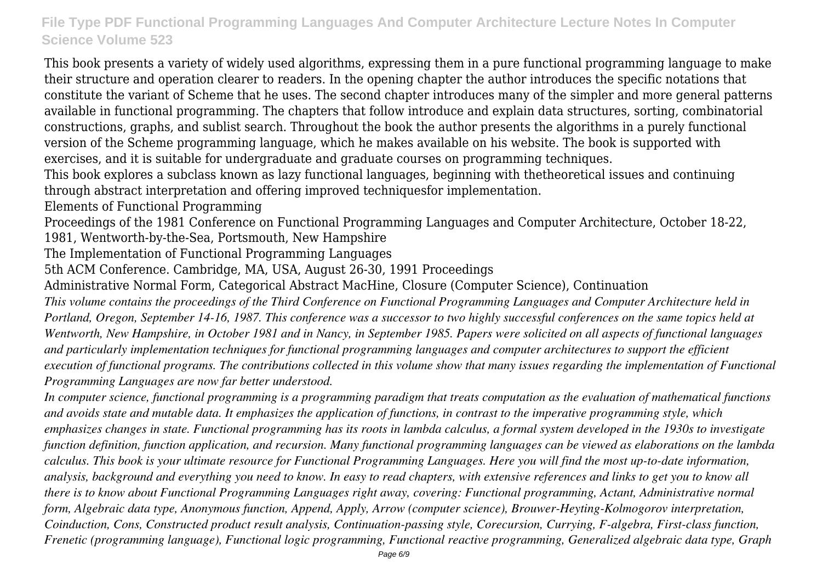This book presents a variety of widely used algorithms, expressing them in a pure functional programming language to make their structure and operation clearer to readers. In the opening chapter the author introduces the specific notations that constitute the variant of Scheme that he uses. The second chapter introduces many of the simpler and more general patterns available in functional programming. The chapters that follow introduce and explain data structures, sorting, combinatorial constructions, graphs, and sublist search. Throughout the book the author presents the algorithms in a purely functional version of the Scheme programming language, which he makes available on his website. The book is supported with exercises, and it is suitable for undergraduate and graduate courses on programming techniques.

This book explores a subclass known as lazy functional languages, beginning with thetheoretical issues and continuing through abstract interpretation and offering improved techniquesfor implementation.

Elements of Functional Programming

Proceedings of the 1981 Conference on Functional Programming Languages and Computer Architecture, October 18-22,

1981, Wentworth-by-the-Sea, Portsmouth, New Hampshire

The Implementation of Functional Programming Languages

5th ACM Conference. Cambridge, MA, USA, August 26-30, 1991 Proceedings

Administrative Normal Form, Categorical Abstract MacHine, Closure (Computer Science), Continuation

*This volume contains the proceedings of the Third Conference on Functional Programming Languages and Computer Architecture held in Portland, Oregon, September 14-16, 1987. This conference was a successor to two highly successful conferences on the same topics held at Wentworth, New Hampshire, in October 1981 and in Nancy, in September 1985. Papers were solicited on all aspects of functional languages and particularly implementation techniques for functional programming languages and computer architectures to support the efficient execution of functional programs. The contributions collected in this volume show that many issues regarding the implementation of Functional Programming Languages are now far better understood.*

*In computer science, functional programming is a programming paradigm that treats computation as the evaluation of mathematical functions and avoids state and mutable data. It emphasizes the application of functions, in contrast to the imperative programming style, which emphasizes changes in state. Functional programming has its roots in lambda calculus, a formal system developed in the 1930s to investigate function definition, function application, and recursion. Many functional programming languages can be viewed as elaborations on the lambda calculus. This book is your ultimate resource for Functional Programming Languages. Here you will find the most up-to-date information, analysis, background and everything you need to know. In easy to read chapters, with extensive references and links to get you to know all there is to know about Functional Programming Languages right away, covering: Functional programming, Actant, Administrative normal form, Algebraic data type, Anonymous function, Append, Apply, Arrow (computer science), Brouwer-Heyting-Kolmogorov interpretation, Coinduction, Cons, Constructed product result analysis, Continuation-passing style, Corecursion, Currying, F-algebra, First-class function, Frenetic (programming language), Functional logic programming, Functional reactive programming, Generalized algebraic data type, Graph*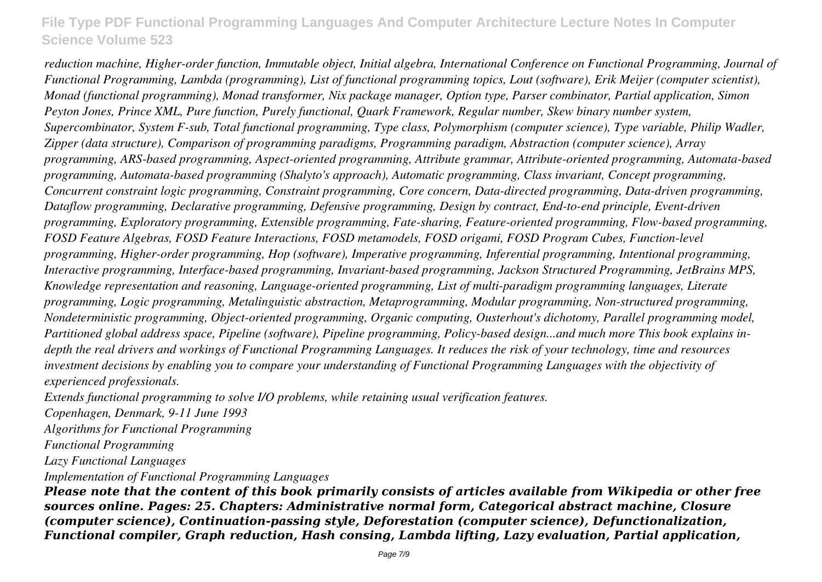*reduction machine, Higher-order function, Immutable object, Initial algebra, International Conference on Functional Programming, Journal of Functional Programming, Lambda (programming), List of functional programming topics, Lout (software), Erik Meijer (computer scientist), Monad (functional programming), Monad transformer, Nix package manager, Option type, Parser combinator, Partial application, Simon Peyton Jones, Prince XML, Pure function, Purely functional, Quark Framework, Regular number, Skew binary number system, Supercombinator, System F-sub, Total functional programming, Type class, Polymorphism (computer science), Type variable, Philip Wadler, Zipper (data structure), Comparison of programming paradigms, Programming paradigm, Abstraction (computer science), Array programming, ARS-based programming, Aspect-oriented programming, Attribute grammar, Attribute-oriented programming, Automata-based programming, Automata-based programming (Shalyto's approach), Automatic programming, Class invariant, Concept programming, Concurrent constraint logic programming, Constraint programming, Core concern, Data-directed programming, Data-driven programming, Dataflow programming, Declarative programming, Defensive programming, Design by contract, End-to-end principle, Event-driven programming, Exploratory programming, Extensible programming, Fate-sharing, Feature-oriented programming, Flow-based programming, FOSD Feature Algebras, FOSD Feature Interactions, FOSD metamodels, FOSD origami, FOSD Program Cubes, Function-level programming, Higher-order programming, Hop (software), Imperative programming, Inferential programming, Intentional programming, Interactive programming, Interface-based programming, Invariant-based programming, Jackson Structured Programming, JetBrains MPS, Knowledge representation and reasoning, Language-oriented programming, List of multi-paradigm programming languages, Literate programming, Logic programming, Metalinguistic abstraction, Metaprogramming, Modular programming, Non-structured programming, Nondeterministic programming, Object-oriented programming, Organic computing, Ousterhout's dichotomy, Parallel programming model, Partitioned global address space, Pipeline (software), Pipeline programming, Policy-based design...and much more This book explains indepth the real drivers and workings of Functional Programming Languages. It reduces the risk of your technology, time and resources investment decisions by enabling you to compare your understanding of Functional Programming Languages with the objectivity of experienced professionals.*

*Extends functional programming to solve I/O problems, while retaining usual verification features.*

*Copenhagen, Denmark, 9-11 June 1993*

*Algorithms for Functional Programming*

*Functional Programming*

*Lazy Functional Languages*

*Implementation of Functional Programming Languages*

*Please note that the content of this book primarily consists of articles available from Wikipedia or other free sources online. Pages: 25. Chapters: Administrative normal form, Categorical abstract machine, Closure (computer science), Continuation-passing style, Deforestation (computer science), Defunctionalization, Functional compiler, Graph reduction, Hash consing, Lambda lifting, Lazy evaluation, Partial application,*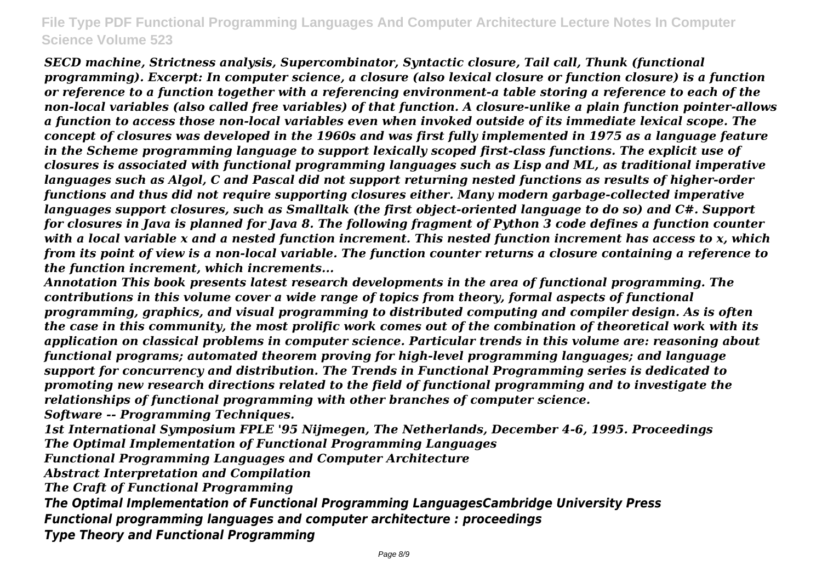*SECD machine, Strictness analysis, Supercombinator, Syntactic closure, Tail call, Thunk (functional programming). Excerpt: In computer science, a closure (also lexical closure or function closure) is a function or reference to a function together with a referencing environment-a table storing a reference to each of the non-local variables (also called free variables) of that function. A closure-unlike a plain function pointer-allows a function to access those non-local variables even when invoked outside of its immediate lexical scope. The concept of closures was developed in the 1960s and was first fully implemented in 1975 as a language feature in the Scheme programming language to support lexically scoped first-class functions. The explicit use of closures is associated with functional programming languages such as Lisp and ML, as traditional imperative languages such as Algol, C and Pascal did not support returning nested functions as results of higher-order functions and thus did not require supporting closures either. Many modern garbage-collected imperative languages support closures, such as Smalltalk (the first object-oriented language to do so) and C#. Support for closures in Java is planned for Java 8. The following fragment of Python 3 code defines a function counter with a local variable x and a nested function increment. This nested function increment has access to x, which from its point of view is a non-local variable. The function counter returns a closure containing a reference to the function increment, which increments...*

*Annotation This book presents latest research developments in the area of functional programming. The contributions in this volume cover a wide range of topics from theory, formal aspects of functional programming, graphics, and visual programming to distributed computing and compiler design. As is often the case in this community, the most prolific work comes out of the combination of theoretical work with its application on classical problems in computer science. Particular trends in this volume are: reasoning about functional programs; automated theorem proving for high-level programming languages; and language support for concurrency and distribution. The Trends in Functional Programming series is dedicated to promoting new research directions related to the field of functional programming and to investigate the relationships of functional programming with other branches of computer science.*

*Software -- Programming Techniques.*

*1st International Symposium FPLE '95 Nijmegen, The Netherlands, December 4-6, 1995. Proceedings The Optimal Implementation of Functional Programming Languages*

*Functional Programming Languages and Computer Architecture*

*Abstract Interpretation and Compilation*

*The Craft of Functional Programming*

*The Optimal Implementation of Functional Programming LanguagesCambridge University Press Functional programming languages and computer architecture : proceedings Type Theory and Functional Programming*